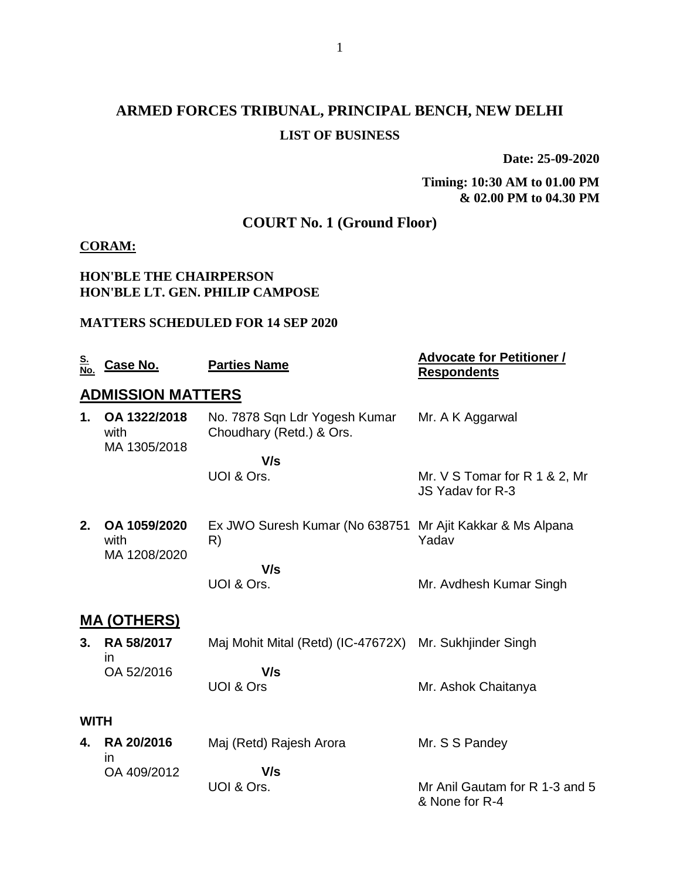# **ARMED FORCES TRIBUNAL, PRINCIPAL BENCH, NEW DELHI LIST OF BUSINESS**

**Date: 25-09-2020**

**Timing: 10:30 AM to 01.00 PM & 02.00 PM to 04.30 PM**

## **COURT No. 1 (Ground Floor)**

### **CORAM:**

### **HON'BLE THE CHAIRPERSON HON'BLE LT. GEN. PHILIP CAMPOSE**

#### **MATTERS SCHEDULED FOR 14 SEP 2020**

| <u>S.</u><br>No. | Case No.                             | <b>Parties Name</b>                                             | <b>Advocate for Petitioner /</b><br><b>Respondents</b> |
|------------------|--------------------------------------|-----------------------------------------------------------------|--------------------------------------------------------|
|                  | <b>ADMISSION MATTERS</b>             |                                                                 |                                                        |
| 1.               | OA 1322/2018<br>with<br>MA 1305/2018 | No. 7878 Sqn Ldr Yogesh Kumar<br>Choudhary (Retd.) & Ors.       | Mr. A K Aggarwal                                       |
|                  |                                      | V/s                                                             |                                                        |
|                  |                                      | UOI & Ors.                                                      | Mr. V S Tomar for R 1 & 2, Mr.<br>JS Yaday for R-3     |
| 2.               | OA 1059/2020<br>with<br>MA 1208/2020 | Ex JWO Suresh Kumar (No 638751 Mr Ajit Kakkar & Ms Alpana<br>R) | Yadav                                                  |
|                  |                                      | V/s<br>UOI & Ors.                                               | Mr. Avdhesh Kumar Singh                                |
|                  | <u>MA (OTHERS)</u>                   |                                                                 |                                                        |
| 3.               | RA 58/2017<br><i>in</i>              | Maj Mohit Mital (Retd) (IC-47672X) Mr. Sukhjinder Singh         |                                                        |
|                  | OA 52/2016                           | V/s                                                             |                                                        |
|                  |                                      | UOI & Ors                                                       | Mr. Ashok Chaitanya                                    |
| <b>WITH</b>      |                                      |                                                                 |                                                        |
| 4.               | <b>RA 20/2016</b><br><i>in</i>       | Maj (Retd) Rajesh Arora                                         | Mr. S S Pandey                                         |
|                  | OA 409/2012                          | V/s                                                             |                                                        |
|                  |                                      | UOI & Ors.                                                      | Mr Anil Gautam for R 1-3 and 5<br>& None for R-4       |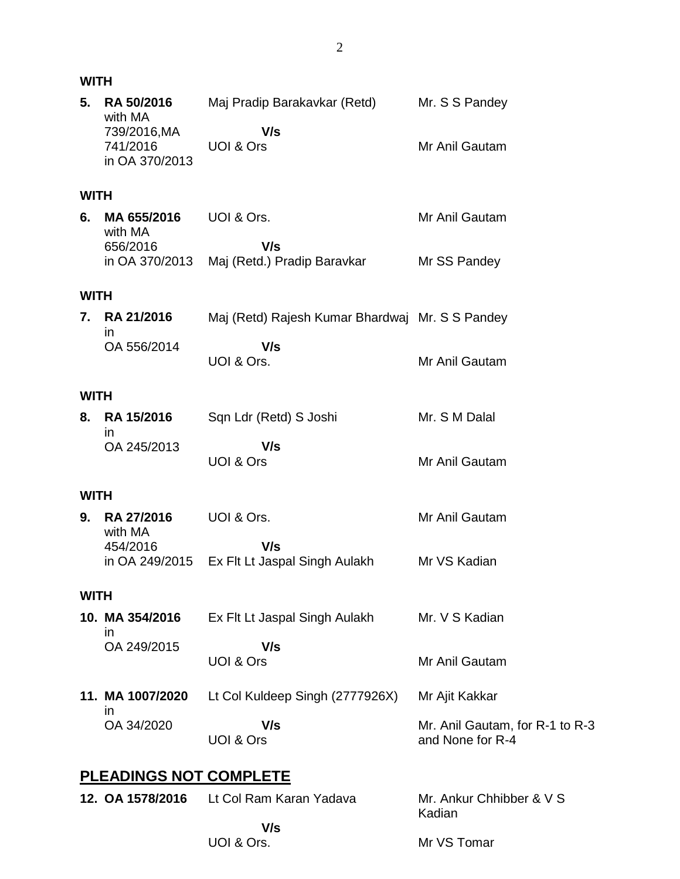|             | <b>WITH</b>                                  |                                                    |                                                     |  |
|-------------|----------------------------------------------|----------------------------------------------------|-----------------------------------------------------|--|
| 5.          | <b>RA 50/2016</b><br>with MA<br>739/2016, MA | Maj Pradip Barakavkar (Retd) Mr. S S Pandey<br>V/s |                                                     |  |
|             | 741/2016<br>in OA 370/2013                   | UOI & Ors                                          | Mr Anil Gautam                                      |  |
| <b>WITH</b> |                                              |                                                    |                                                     |  |
| 6.          | MA 655/2016<br>with MA                       | UOI & Ors.                                         | Mr Anil Gautam                                      |  |
|             | 656/2016<br>in OA 370/2013                   | V/s<br>Maj (Retd.) Pradip Baravkar                 | Mr SS Pandey                                        |  |
| <b>WITH</b> |                                              |                                                    |                                                     |  |
| 7.          | RA 21/2016<br>in                             | Maj (Retd) Rajesh Kumar Bhardwaj Mr. S S Pandey    |                                                     |  |
|             | OA 556/2014                                  | V/s<br>UOI & Ors.                                  | Mr Anil Gautam                                      |  |
| <b>WITH</b> |                                              |                                                    |                                                     |  |
| 8.          | RA 15/2016<br>in                             | Sqn Ldr (Retd) S Joshi                             | Mr. S M Dalal                                       |  |
|             | OA 245/2013                                  | V/s<br>UOI & Ors                                   | Mr Anil Gautam                                      |  |
| <b>WITH</b> |                                              |                                                    |                                                     |  |
| 9.          | <b>RA 27/2016</b><br>with MA                 | UOI & Ors.                                         | Mr Anil Gautam                                      |  |
|             | 454/2016<br>in OA 249/2015                   | V/s<br>Ex Flt Lt Jaspal Singh Aulakh               | Mr VS Kadian                                        |  |
| <b>WITH</b> |                                              |                                                    |                                                     |  |
|             | 10. MA 354/2016<br>in                        | Ex Flt Lt Jaspal Singh Aulakh                      | Mr. V S Kadian                                      |  |
|             | OA 249/2015                                  | V/s<br>UOI & Ors                                   | Mr Anil Gautam                                      |  |
|             | 11. MA 1007/2020<br><i>in</i>                | Lt Col Kuldeep Singh (2777926X)                    | Mr Ajit Kakkar                                      |  |
|             | OA 34/2020                                   | V/s<br>UOI & Ors                                   | Mr. Anil Gautam, for R-1 to R-3<br>and None for R-4 |  |
|             | <b>PLEADINGS NOT COMPLETE</b>                |                                                    |                                                     |  |
|             |                                              | 12. OA 1578/2016 Lt Col Ram Karan Yadava           | Mr. Ankur Chhibber & V S                            |  |

 **V/s** UOI & Ors. Kadian Mr VS Tomar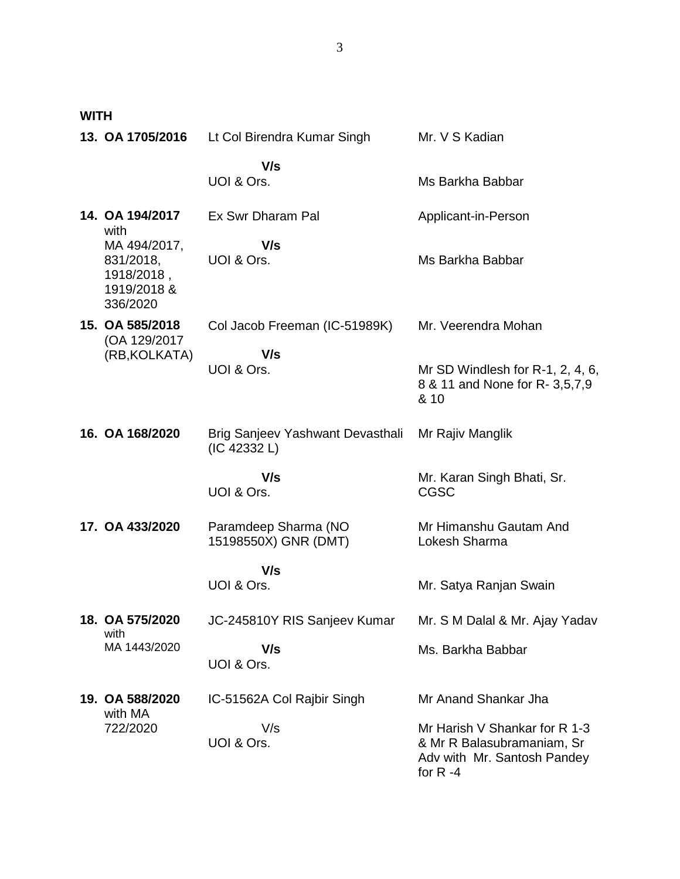**WITH**

| 13. OA 1705/2016                                                   | Lt Col Birendra Kumar Singh                      | Mr. V S Kadian                                                                                            |
|--------------------------------------------------------------------|--------------------------------------------------|-----------------------------------------------------------------------------------------------------------|
|                                                                    | V/s<br>UOI & Ors.                                | Ms Barkha Babbar                                                                                          |
| 14. OA 194/2017<br>with                                            | Ex Swr Dharam Pal                                | Applicant-in-Person                                                                                       |
| MA 494/2017,<br>831/2018,<br>1918/2018,<br>1919/2018 &<br>336/2020 | V/s<br>UOI & Ors.                                | Ms Barkha Babbar                                                                                          |
| 15. OA 585/2018<br>(OA 129/2017)                                   | Col Jacob Freeman (IC-51989K)                    | Mr. Veerendra Mohan                                                                                       |
| (RB, KOLKATA)                                                      | V/s<br>UOI & Ors.                                | Mr SD Windlesh for R-1, 2, 4, 6,<br>8 & 11 and None for R- 3,5,7,9<br>& 10                                |
| 16. OA 168/2020                                                    | Brig Sanjeev Yashwant Devasthali<br>(IC 42332 L) | Mr Rajiv Manglik                                                                                          |
|                                                                    | V/s<br>UOI & Ors.                                | Mr. Karan Singh Bhati, Sr.<br><b>CGSC</b>                                                                 |
| 17. OA 433/2020                                                    | Paramdeep Sharma (NO<br>15198550X) GNR (DMT)     | Mr Himanshu Gautam And<br>Lokesh Sharma                                                                   |
|                                                                    | V/s<br>UOI & Ors.                                | Mr. Satya Ranjan Swain                                                                                    |
| 18. OA 575/2020                                                    | JC-245810Y RIS Sanjeev Kumar                     | Mr. S M Dalal & Mr. Ajay Yadav                                                                            |
| with<br>MA 1443/2020                                               | V/s<br>UOI & Ors.                                | Ms. Barkha Babbar                                                                                         |
| 19. OA 588/2020                                                    | IC-51562A Col Rajbir Singh                       | Mr Anand Shankar Jha                                                                                      |
| with MA<br>722/2020                                                | V/s<br>UOI & Ors.                                | Mr Harish V Shankar for R 1-3<br>& Mr R Balasubramaniam, Sr<br>Adv with Mr. Santosh Pandey<br>for $R - 4$ |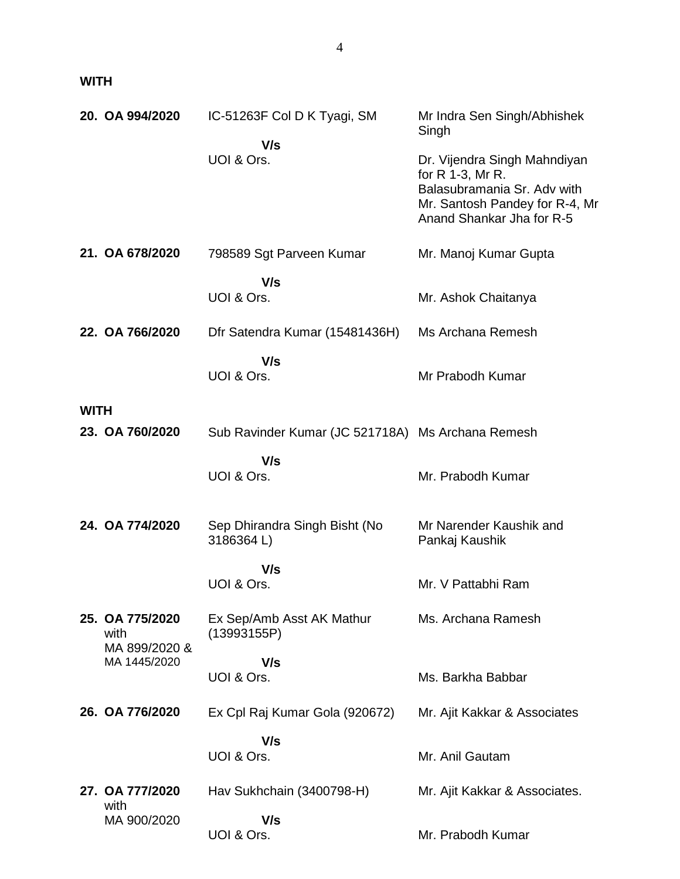**WITH**

|             | 20. OA 994/2020                          | IC-51263F Col D K Tyagi, SM                       | Mr Indra Sen Singh/Abhishek<br>Singh                                                                                                           |
|-------------|------------------------------------------|---------------------------------------------------|------------------------------------------------------------------------------------------------------------------------------------------------|
|             |                                          | V/s<br>UOI & Ors.                                 | Dr. Vijendra Singh Mahndiyan<br>for R 1-3, Mr R.<br>Balasubramania Sr. Adv with<br>Mr. Santosh Pandey for R-4, Mr<br>Anand Shankar Jha for R-5 |
|             | 21. OA 678/2020                          | 798589 Sgt Parveen Kumar                          | Mr. Manoj Kumar Gupta                                                                                                                          |
|             |                                          | V/s<br>UOI & Ors.                                 | Mr. Ashok Chaitanya                                                                                                                            |
|             | 22. OA 766/2020                          | Dfr Satendra Kumar (15481436H)                    | Ms Archana Remesh                                                                                                                              |
|             |                                          | V/s<br>UOI & Ors.                                 | Mr Prabodh Kumar                                                                                                                               |
| <b>WITH</b> |                                          |                                                   |                                                                                                                                                |
|             | 23. OA 760/2020                          | Sub Ravinder Kumar (JC 521718A) Ms Archana Remesh |                                                                                                                                                |
|             |                                          | V/s<br>UOI & Ors.                                 | Mr. Prabodh Kumar                                                                                                                              |
|             | 24. OA 774/2020                          | Sep Dhirandra Singh Bisht (No<br>3186364L)        | Mr Narender Kaushik and<br>Pankaj Kaushik                                                                                                      |
|             |                                          | V/s<br>UOI & Ors.                                 | Mr. V Pattabhi Ram                                                                                                                             |
|             | 25. OA 775/2020<br>with<br>MA 899/2020 & | Ex Sep/Amb Asst AK Mathur<br>(13993155P)          | Ms. Archana Ramesh                                                                                                                             |
|             | MA 1445/2020                             | V/s<br>UOI & Ors.                                 | Ms. Barkha Babbar                                                                                                                              |
|             | 26. OA 776/2020                          | Ex Cpl Raj Kumar Gola (920672)                    | Mr. Ajit Kakkar & Associates                                                                                                                   |
|             |                                          | V/s<br>UOI & Ors.                                 | Mr. Anil Gautam                                                                                                                                |
|             | 27. OA 777/2020                          | Hav Sukhchain (3400798-H)                         | Mr. Ajit Kakkar & Associates.                                                                                                                  |
|             | with<br>MA 900/2020                      | V/s<br>UOI & Ors.                                 | Mr. Prabodh Kumar                                                                                                                              |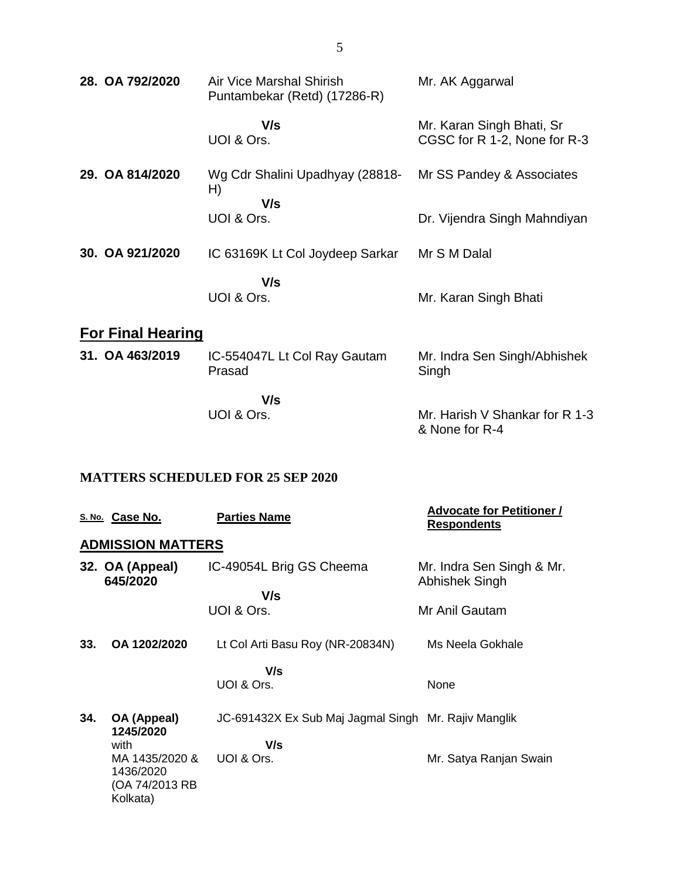| 28. OA 792/2020          | Air Vice Marshal Shirish<br>Puntambekar (Retd) (17286-R) | Mr. AK Aggarwal                                           |
|--------------------------|----------------------------------------------------------|-----------------------------------------------------------|
|                          | V/s<br>UOI & Ors.                                        | Mr. Karan Singh Bhati, Sr<br>CGSC for R 1-2, None for R-3 |
| 29. OA 814/2020          | Wg Cdr Shalini Upadhyay (28818-<br>H)<br>V/s             | Mr SS Pandey & Associates                                 |
|                          | UOI & Ors.                                               | Dr. Vijendra Singh Mahndiyan                              |
| 30. OA 921/2020          | IC 63169K Lt Col Joydeep Sarkar                          | Mr S M Dalal                                              |
|                          | V/s<br>UOI & Ors.                                        | Mr. Karan Singh Bhati                                     |
| <b>For Final Hearing</b> |                                                          |                                                           |

| 31. OA 463/2019 | IC-554047L Lt Col Ray Gautam<br>Prasad | Mr. Indra Sen Singh/Abhishek<br>Singh            |
|-----------------|----------------------------------------|--------------------------------------------------|
|                 | V/s                                    |                                                  |
|                 | UOI & Ors.                             | Mr. Harish V Shankar for R 1-3<br>& None for R-4 |

### **MATTERS SCHEDULED FOR 25 SEP 2020**

|     | S. No. Case No.                                           | <b>Parties Name</b>                                  | <b>Advocate for Petitioner /</b><br><b>Respondents</b> |
|-----|-----------------------------------------------------------|------------------------------------------------------|--------------------------------------------------------|
|     | <b>ADMISSION MATTERS</b>                                  |                                                      |                                                        |
|     | 32. OA (Appeal)<br>645/2020                               | IC-49054L Brig GS Cheema                             | Mr. Indra Sen Singh & Mr.<br>Abhishek Singh            |
|     |                                                           | V/s                                                  |                                                        |
|     |                                                           | UOI & Ors.                                           | Mr Anil Gautam                                         |
| 33. | OA 1202/2020                                              | Lt Col Arti Basu Roy (NR-20834N)                     | Ms Neela Gokhale                                       |
|     |                                                           | V/s                                                  |                                                        |
|     |                                                           | UOI & Ors.                                           | None                                                   |
| 34. | OA (Appeal)<br>1245/2020                                  | JC-691432X Ex Sub Maj Jagmal Singh Mr. Rajiv Manglik |                                                        |
|     | with                                                      | V/s                                                  |                                                        |
|     | MA 1435/2020 &<br>1436/2020<br>(OA 74/2013 RB<br>Kolkata) | UOI & Ors.                                           | Mr. Satya Ranjan Swain                                 |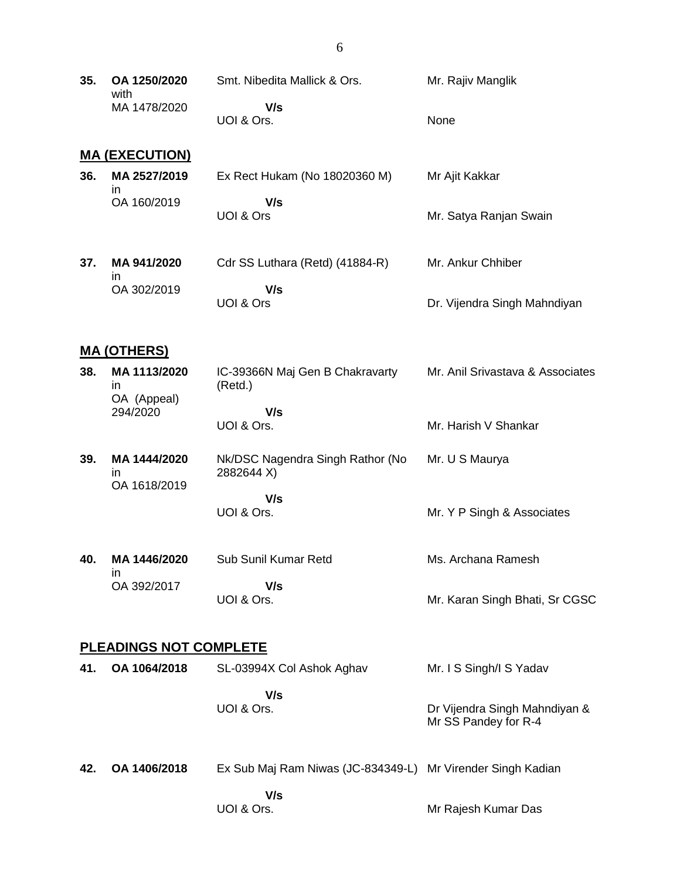| 35. OA 1250/2020<br>with | Smt. Nibedita Mallick & Ors. | Mr. Rajiv Manglik |
|--------------------------|------------------------------|-------------------|
| MA 1478/2020             | V/s<br>UOI & Ors.            | <b>None</b>       |
|                          |                              |                   |

6

#### **MA (EXECUTION)**

| 36. | MA 2527/2019 | Ex Rect Hukam (No 18020360 M) | Mr Ajit Kakkar         |
|-----|--------------|-------------------------------|------------------------|
|     | OA 160/2019  | V/s                           |                        |
|     |              | UOI & Ors                     | Mr. Satya Ranjan Swain |

**37. MA 941/2020** in OA 302/2019 Cdr SS Luthara (Retd) (41884-R)  **V/s** UOI & Ors Mr. Ankur Chhiber Dr. Vijendra Singh Mahndiyan

#### **MA (OTHERS)**

- **38. MA 1113/2020** in OA (Appeal) 294/2020 IC-39366N Maj Gen B Chakravarty (Retd.)  **V/s** UOI & Ors. Mr. Anil Srivastava & Associates Mr. Harish V Shankar
- **39. MA 1444/2020** in OA 1618/2019 Nk/DSC Nagendra Singh Rathor (No 2882644 X)  **V/s** UOI & Ors. Mr. U S Maurya Mr. Y P Singh & Associates
- **40. MA 1446/2020** in OA 392/2017 Sub Sunil Kumar Retd  **V/s** UOI & Ors. Ms. Archana Ramesh Mr. Karan Singh Bhati, Sr CGSC

#### **PLEADINGS NOT COMPLETE**

| 41. | OA 1064/2018 | SL-03994X Col Ashok Aghav                                   | Mr. I S Singh/I S Yadav                               |
|-----|--------------|-------------------------------------------------------------|-------------------------------------------------------|
|     |              | V/s<br>UOI & Ors.                                           | Dr Vijendra Singh Mahndiyan &<br>Mr SS Pandey for R-4 |
| 42. | OA 1406/2018 | Ex Sub Maj Ram Niwas (JC-834349-L) Mr Virender Singh Kadian |                                                       |

Mr Rajesh Kumar Das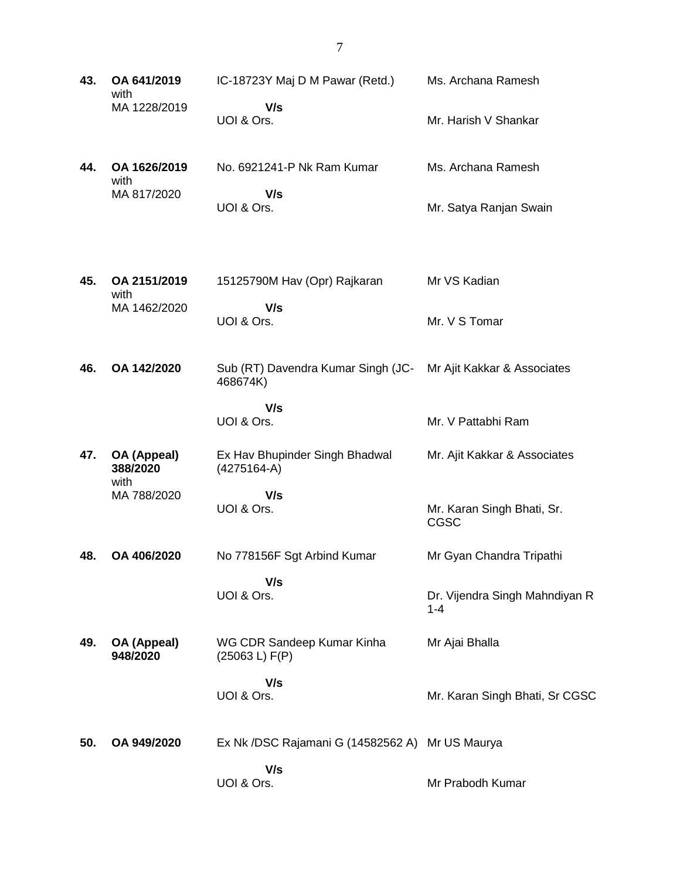**43. OA 641/2019** with MA 1228/2019 IC-18723Y Maj D M Pawar (Retd.)  **V/s** UOI & Ors. Ms. Archana Ramesh Mr. Harish V Shankar **44. OA 1626/2019** with MA 817/2020 No. 6921241-P Nk Ram Kumar  **V/s** UOI & Ors. Ms. Archana Ramesh Mr. Satya Ranjan Swain **45. OA 2151/2019** with MA 1462/2020 15125790M Hav (Opr) Rajkaran  **V/s** UOI & Ors. Mr VS Kadian Mr. V S Tomar **46. OA 142/2020** Sub (RT) Davendra Kumar Singh (JC-468674K)  **V/s** UOI & Ors. Mr Ajit Kakkar & Associates Mr. V Pattabhi Ram **47. OA (Appeal) 388/2020** with MA 788/2020 Ex Hav Bhupinder Singh Bhadwal (4275164-A)  **V/s** UOI & Ors. Mr. Ajit Kakkar & Associates Mr. Karan Singh Bhati, Sr. CGSC **48. OA 406/2020** No 778156F Sgt Arbind Kumar  **V/s** UOI & Ors. Mr Gyan Chandra Tripathi Dr. Vijendra Singh Mahndiyan R 1-4 **49. OA (Appeal) 948/2020** WG CDR Sandeep Kumar Kinha (25063 L) F(P)  **V/s** UOI & Ors. Mr Ajai Bhalla Mr. Karan Singh Bhati, Sr CGSC **50. OA 949/2020** Ex Nk /DSC Rajamani G (14582562 A) Mr US Maurya  **V/s** UOI & Ors. Mr Prabodh Kumar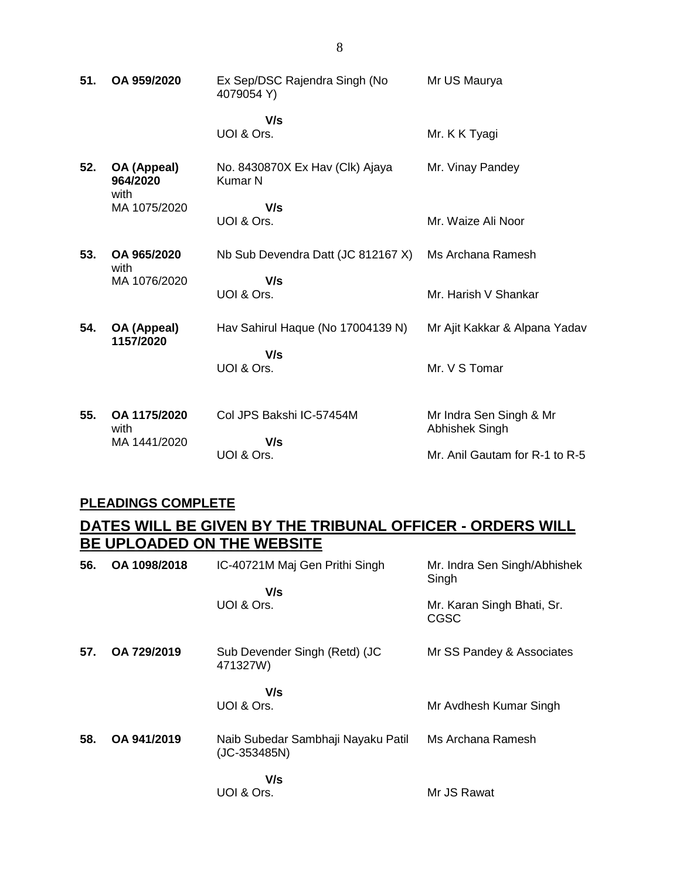| 51. | OA 959/2020                          | Ex Sep/DSC Rajendra Singh (No<br>4079054 Y)       | Mr US Maurya                              |
|-----|--------------------------------------|---------------------------------------------------|-------------------------------------------|
|     |                                      | V/s<br>UOI & Ors.                                 | Mr. K K Tyagi                             |
| 52. | OA (Appeal)<br>964/2020<br>with      | No. 8430870X Ex Hav (Clk) Ajaya<br><b>Kumar N</b> | Mr. Vinay Pandey                          |
|     | MA 1075/2020                         | V/s<br>UOI & Ors.                                 | Mr. Waize Ali Noor                        |
| 53. | OA 965/2020<br>with                  | Nb Sub Devendra Datt (JC 812167 X)                | Ms Archana Ramesh                         |
|     | MA 1076/2020                         | V/s<br>UOI & Ors.                                 | Mr. Harish V Shankar                      |
| 54. | OA (Appeal)                          | Hav Sahirul Haque (No 17004139 N)                 | Mr Ajit Kakkar & Alpana Yadav             |
|     | 1157/2020                            | V/s<br>UOI & Ors.                                 | Mr. V S Tomar                             |
| 55. | OA 1175/2020<br>with<br>MA 1441/2020 | Col JPS Bakshi IC-57454M<br>V/s                   | Mr Indra Sen Singh & Mr<br>Abhishek Singh |
|     |                                      | UOI & Ors.                                        | Mr. Anil Gautam for R-1 to R-5            |

### **PLEADINGS COMPLETE**

## **DATES WILL BE GIVEN BY THE TRIBUNAL OFFICER - ORDERS WILL BE UPLOADED ON THE WEBSITE**

| 56. | OA 1098/2018 | IC-40721M Maj Gen Prithi Singh                       | Mr. Indra Sen Singh/Abhishek<br>Singh |
|-----|--------------|------------------------------------------------------|---------------------------------------|
|     |              | V/s<br>UOI & Ors.                                    | Mr. Karan Singh Bhati, Sr.<br>CGSC    |
| 57. | OA 729/2019  | Sub Devender Singh (Retd) (JC<br>471327W)            | Mr SS Pandey & Associates             |
|     |              | V/s<br>UOI & Ors.                                    | Mr Avdhesh Kumar Singh                |
| 58. | OA 941/2019  | Naib Subedar Sambhaji Nayaku Patil<br>$(JC-353485N)$ | Ms Archana Ramesh                     |
|     |              | V/s<br>UOI & Ors.                                    | Mr JS Rawat                           |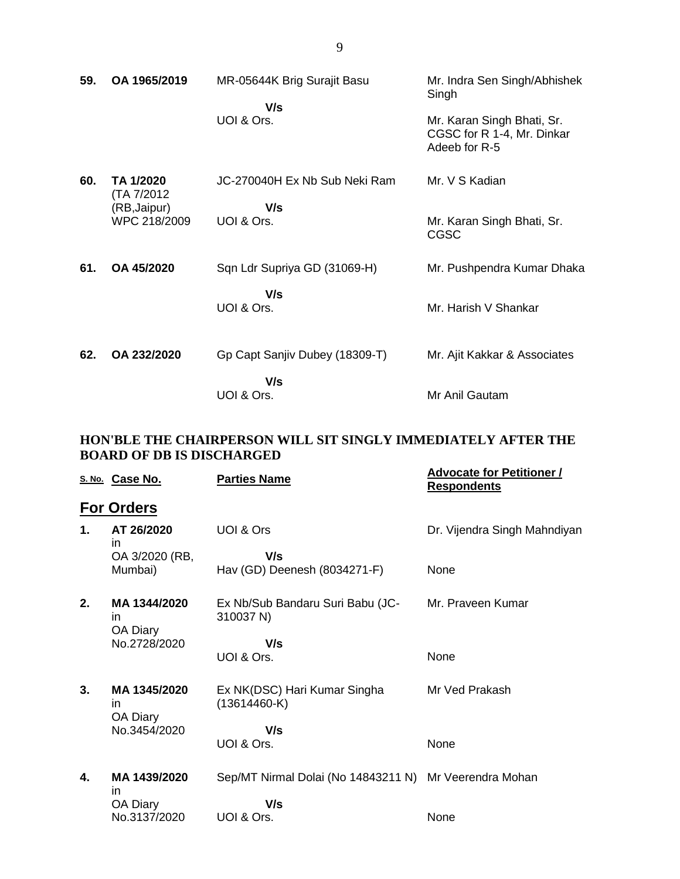| 59. | OA 1965/2019                 | MR-05644K Brig Surajit Basu<br>V/s | Mr. Indra Sen Singh/Abhishek<br>Singh                                     |
|-----|------------------------------|------------------------------------|---------------------------------------------------------------------------|
|     |                              | UOI & Ors.                         | Mr. Karan Singh Bhati, Sr.<br>CGSC for R 1-4, Mr. Dinkar<br>Adeeb for R-5 |
| 60. | TA 1/2020<br>(TA 7/2012)     | JC-270040H Ex Nb Sub Neki Ram      | Mr. V S Kadian                                                            |
|     | (RB, Jaipur)<br>WPC 218/2009 | V/s<br>UOI & Ors.                  | Mr. Karan Singh Bhati, Sr.<br><b>CGSC</b>                                 |
| 61. | OA 45/2020                   | Sqn Ldr Supriya GD (31069-H)       | Mr. Pushpendra Kumar Dhaka                                                |
|     |                              | V/s<br>UOI & Ors.                  | Mr. Harish V Shankar                                                      |
| 62. | OA 232/2020                  | Gp Capt Sanjiv Dubey (18309-T)     | Mr. Ajit Kakkar & Associates                                              |
|     |                              | V/s<br>UOI & Ors.                  | Mr Anil Gautam                                                            |

### **HON'BLE THE CHAIRPERSON WILL SIT SINGLY IMMEDIATELY AFTER THE BOARD OF DB IS DISCHARGED**

|    | S. No. Case No.                | <b>Parties Name</b>                                    | <b>Advocate for Petitioner /</b><br><b>Respondents</b> |
|----|--------------------------------|--------------------------------------------------------|--------------------------------------------------------|
|    | <b>For Orders</b>              |                                                        |                                                        |
| 1. | AT 26/2020<br>in               | UOI & Ors                                              | Dr. Vijendra Singh Mahndiyan                           |
|    | OA 3/2020 (RB,<br>Mumbai)      | V/s<br>Hav (GD) Deenesh (8034271-F)                    | None                                                   |
| 2. | MA 1344/2020<br>in<br>OA Diary | Ex Nb/Sub Bandaru Suri Babu (JC-<br>310037 N)          | Mr. Praveen Kumar                                      |
|    | No.2728/2020                   | V/s                                                    |                                                        |
|    |                                | UOI & Ors.                                             | None                                                   |
| 3. | MA 1345/2020<br>in             | Ex NK(DSC) Hari Kumar Singha<br>$(13614460-K)$         | Mr Ved Prakash                                         |
|    | OA Diary<br>No.3454/2020       | V/s                                                    |                                                        |
|    |                                | UOI & Ors.                                             | None                                                   |
| 4. | MA 1439/2020<br>in             | Sep/MT Nirmal Dolai (No 14843211 N) Mr Veerendra Mohan |                                                        |
|    | OA Diary                       | V/s                                                    |                                                        |
|    | No.3137/2020                   | UOI & Ors.                                             | None                                                   |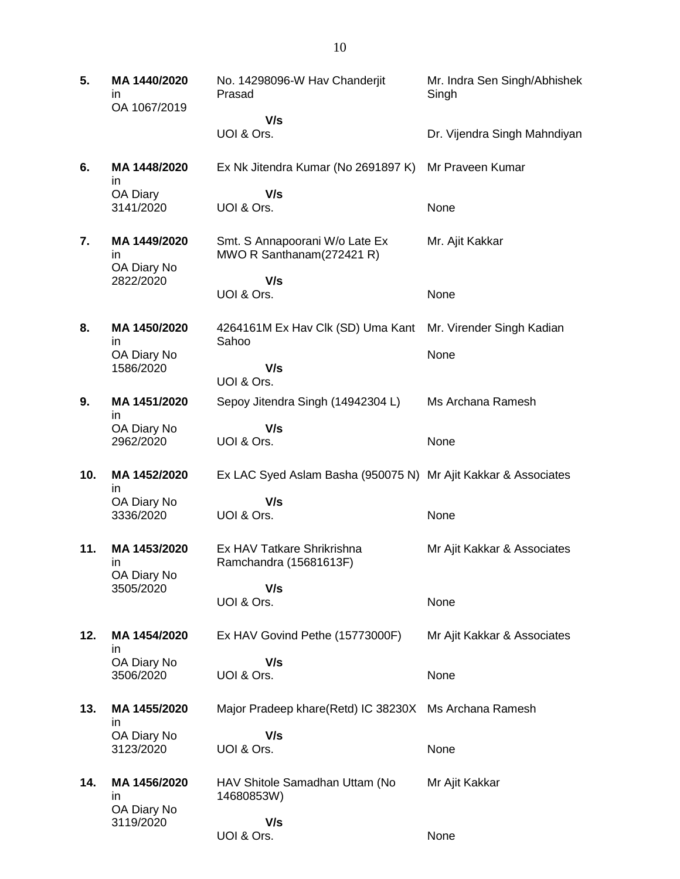**5. MA 1440/2020** in OA 1067/2019 No. 14298096-W Hav Chanderjit Prasad  **V/s** UOI & Ors. Mr. Indra Sen Singh/Abhishek Singh Dr. Vijendra Singh Mahndiyan **6. MA 1448/2020** in OA Diary 3141/2020 Ex Nk Jitendra Kumar (No 2691897 K)  **V/s** UOI & Ors. Mr Praveen Kumar None **7. MA 1449/2020** in OA Diary No 2822/2020 Smt. S Annapoorani W/o Late Ex MWO R Santhanam(272421 R)  **V/s** UOI & Ors. Mr. Ajit Kakkar None **8. MA 1450/2020** in OA Diary No 1586/2020 4264161M Ex Hav Clk (SD) Uma Kant Sahoo  **V/s** UOI & Ors. Mr. Virender Singh Kadian None **9. MA 1451/2020** in OA Diary No 2962/2020 Sepoy Jitendra Singh (14942304 L)  **V/s** UOI & Ors. Ms Archana Ramesh None **10. MA 1452/2020** in OA Diary No 3336/2020 Ex LAC Syed Aslam Basha (950075 N) Mr Ajit Kakkar & Associates  **V/s** UOI & Ors. None **11. MA 1453/2020** in OA Diary No 3505/2020 Ex HAV Tatkare Shrikrishna Ramchandra (15681613F)  **V/s** UOI & Ors. Mr Ajit Kakkar & Associates None **12. MA 1454/2020** in OA Diary No 3506/2020 Ex HAV Govind Pethe (15773000F)  **V/s** UOI & Ors. Mr Ajit Kakkar & Associates None **13. MA 1455/2020** in OA Diary No 3123/2020 Major Pradeep khare(Retd) IC 38230X Ms Archana Ramesh  **V/s** UOI & Ors. None **14. MA 1456/2020** in OA Diary No 3119/2020 HAV Shitole Samadhan Uttam (No 14680853W)  **V/s** UOI & Ors. Mr Ajit Kakkar **None**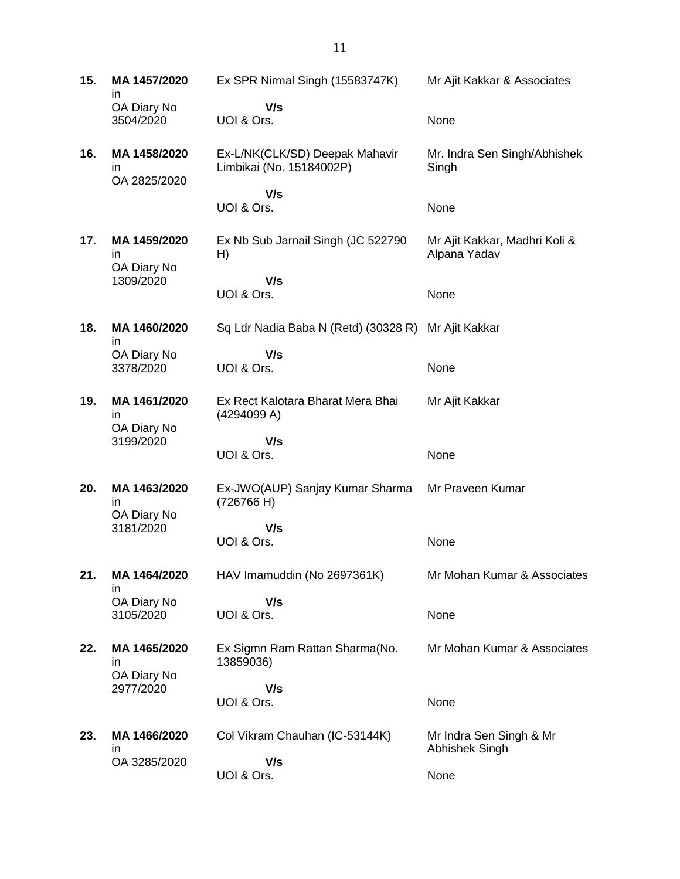**15. MA 1457/2020** in OA Diary No 3504/2020 Ex SPR Nirmal Singh (15583747K)  **V/s** UOI & Ors. Mr Ajit Kakkar & Associates None **16. MA 1458/2020** in OA 2825/2020 Ex-L/NK(CLK/SD) Deepak Mahavir Limbikai (No. 15184002P)  **V/s** UOI & Ors. Mr. Indra Sen Singh/Abhishek **Singh** None **17. MA 1459/2020** in OA Diary No 1309/2020 Ex Nb Sub Jarnail Singh (JC 522790 H)  **V/s** UOI & Ors. Mr Ajit Kakkar, Madhri Koli & Alpana Yadav None **18. MA 1460/2020** in OA Diary No 3378/2020 Sq Ldr Nadia Baba N (Retd) (30328 R) Mr Ajit Kakkar  **V/s** UOI & Ors. None **19. MA 1461/2020** in OA Diary No 3199/2020 Ex Rect Kalotara Bharat Mera Bhai (4294099 A)  **V/s** UOI & Ors. Mr Ajit Kakkar **None 20. MA 1463/2020** in OA Diary No 3181/2020 Ex-JWO(AUP) Sanjay Kumar Sharma (726766 H)  **V/s** UOI & Ors. Mr Praveen Kumar None **21. MA 1464/2020** in OA Diary No 3105/2020 HAV Imamuddin (No 2697361K)  **V/s** UOI & Ors. Mr Mohan Kumar & Associates None **22. MA 1465/2020** in OA Diary No 2977/2020 Ex Sigmn Ram Rattan Sharma(No. 13859036)  **V/s** UOI & Ors. Mr Mohan Kumar & Associates None **23. MA 1466/2020** in OA 3285/2020 Col Vikram Chauhan (IC-53144K)  **V/s** UOI & Ors. Mr Indra Sen Singh & Mr Abhishek Singh None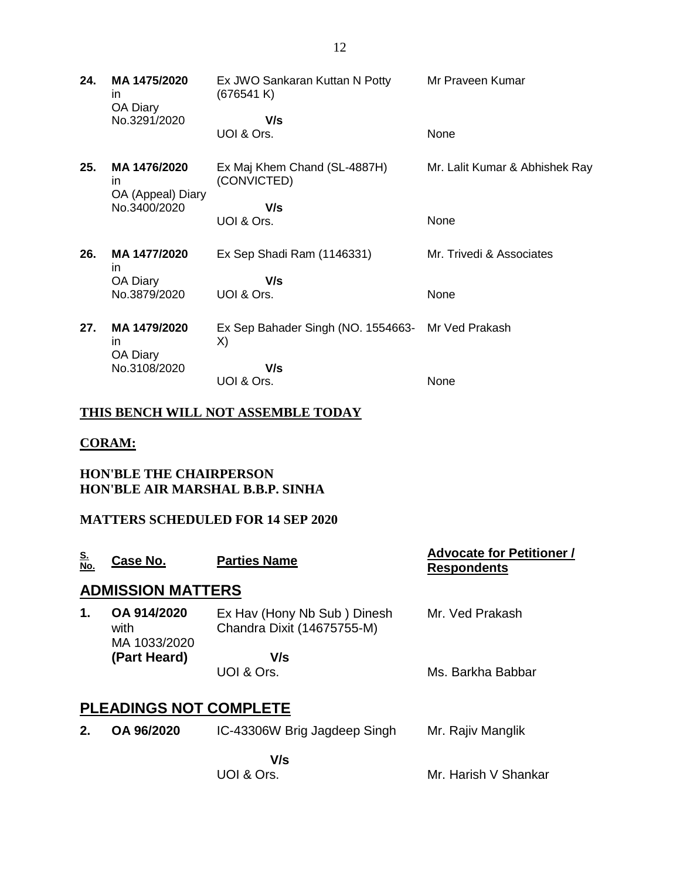| 24. | MA 1475/2020<br>in.<br>OA Diary         | Ex JWO Sankaran Kuttan N Potty<br>(676541 K) | Mr Praveen Kumar               |
|-----|-----------------------------------------|----------------------------------------------|--------------------------------|
|     | No.3291/2020                            | V/s<br>UOI & Ors.                            | None                           |
| 25. | MA 1476/2020<br>ın<br>OA (Appeal) Diary | Ex Maj Khem Chand (SL-4887H)<br>(CONVICTED)  | Mr. Lalit Kumar & Abhishek Ray |
|     | No.3400/2020                            | V/s                                          |                                |
|     |                                         | UOI & Ors.                                   | None                           |
| 26. | MA 1477/2020<br>in.                     | Ex Sep Shadi Ram (1146331)                   | Mr. Trivedi & Associates       |
|     | OA Diary                                | V/s                                          |                                |
|     | No.3879/2020                            | UOI & Ors.                                   | None                           |
| 27. | MA 1479/2020<br>in.<br>OA Diary         | Ex Sep Bahader Singh (NO. 1554663-<br>X)     | Mr Ved Prakash                 |
|     | No.3108/2020                            | V/s                                          |                                |
|     |                                         | UOI & Ors.                                   | None                           |

### **THIS BENCH WILL NOT ASSEMBLE TODAY**

#### **CORAM:**

### **HON'BLE THE CHAIRPERSON HON'BLE AIR MARSHAL B.B.P. SINHA**

### **MATTERS SCHEDULED FOR 14 SEP 2020**

| <u>S.</u><br>No. | Case No.                            | <b>Parties Name</b>                                       | <b>Advocate for Petitioner /</b><br><b>Respondents</b> |
|------------------|-------------------------------------|-----------------------------------------------------------|--------------------------------------------------------|
|                  | <b>ADMISSION MATTERS</b>            |                                                           |                                                        |
| 1.               | OA 914/2020<br>with<br>MA 1033/2020 | Ex Hav (Hony Nb Sub) Dinesh<br>Chandra Dixit (14675755-M) | Mr. Ved Prakash                                        |
|                  | (Part Heard)                        | V/s                                                       |                                                        |
|                  |                                     | UOI & Ors.                                                | Ms. Barkha Babbar                                      |
|                  | <b>PLEADINGS NOT COMPLETE</b>       |                                                           |                                                        |
| $2_{-}$          | OA 96/2020                          | IC-43306W Brig Jagdeep Singh                              | Mr. Rajiv Manglik                                      |
|                  |                                     | V/s                                                       |                                                        |
|                  |                                     | UOI & Ors.                                                | Mr. Harish V Shankar                                   |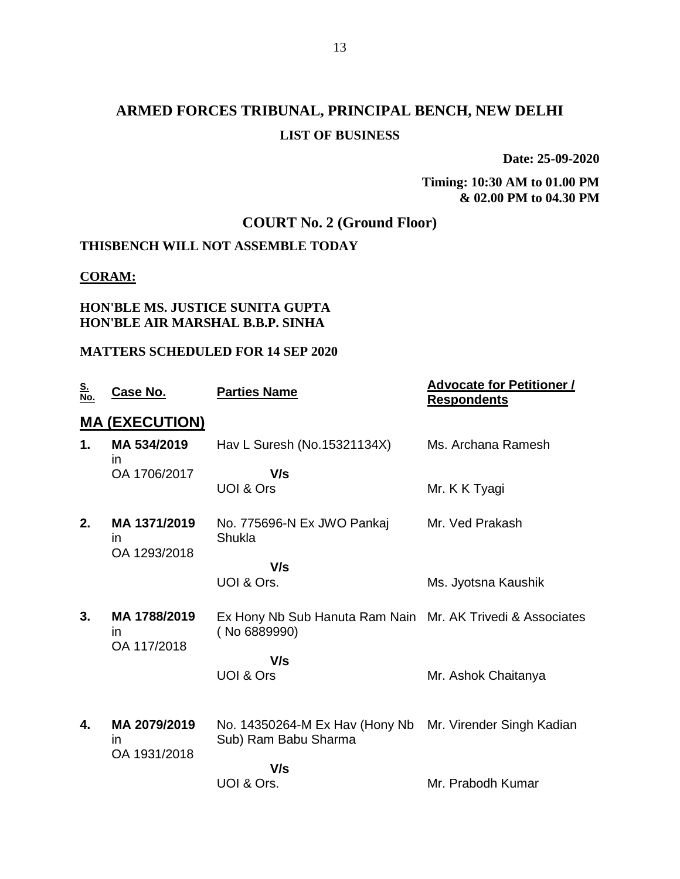# **ARMED FORCES TRIBUNAL, PRINCIPAL BENCH, NEW DELHI LIST OF BUSINESS**

**Date: 25-09-2020**

**Timing: 10:30 AM to 01.00 PM & 02.00 PM to 04.30 PM**

## **COURT No. 2 (Ground Floor)**

## **THISBENCH WILL NOT ASSEMBLE TODAY**

#### **CORAM:**

### **HON'BLE MS. JUSTICE SUNITA GUPTA HON'BLE AIR MARSHAL B.B.P. SINHA**

### **MATTERS SCHEDULED FOR 14 SEP 2020**

| <u>S.</u><br>No. | <b>Case No.</b>                     | <b>Parties Name</b>                                                        | <b>Advocate for Petitioner /</b><br><b>Respondents</b> |
|------------------|-------------------------------------|----------------------------------------------------------------------------|--------------------------------------------------------|
|                  | <b>MA (EXECUTION)</b>               |                                                                            |                                                        |
| 1.               | MA 534/2019<br>in.                  | Hav L Suresh (No.15321134X)                                                | Ms. Archana Ramesh                                     |
|                  | OA 1706/2017                        | V/s                                                                        |                                                        |
|                  |                                     | UOI & Ors                                                                  | Mr. K K Tyagi                                          |
| 2.               | MA 1371/2019<br>in.<br>OA 1293/2018 | No. 775696-N Ex JWO Pankaj<br>Shukla                                       | Mr. Ved Prakash                                        |
|                  |                                     | V/s                                                                        |                                                        |
|                  |                                     | UOI & Ors.                                                                 | Ms. Jyotsna Kaushik                                    |
| 3.               | MA 1788/2019<br>in.<br>OA 117/2018  | Ex Hony Nb Sub Hanuta Ram Nain Mr. AK Trivedi & Associates<br>(No 6889990) |                                                        |
|                  |                                     | V/s                                                                        |                                                        |
|                  |                                     | UOI & Ors                                                                  | Mr. Ashok Chaitanya                                    |
| 4.               | MA 2079/2019                        | No. 14350264-M Ex Hav (Hony Nb Mr. Virender Singh Kadian                   |                                                        |
|                  | in<br>OA 1931/2018                  | Sub) Ram Babu Sharma                                                       |                                                        |
|                  |                                     | V/s                                                                        |                                                        |
|                  |                                     | UOI & Ors.                                                                 | Mr. Prabodh Kumar                                      |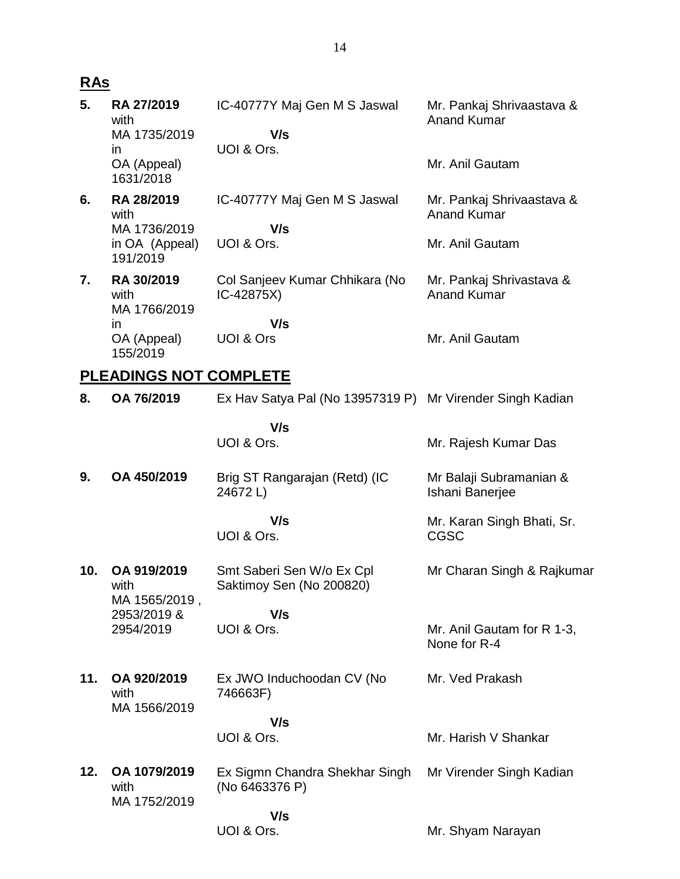# **RAs**

| 5.  | RA 27/2019<br>with<br>MA 1735/2019<br>$\mathsf{I}$ | IC-40777Y Maj Gen M S Jaswal<br>V/s<br>UOI & Ors.         | Mr. Pankaj Shrivaastava &<br><b>Anand Kumar</b> |
|-----|----------------------------------------------------|-----------------------------------------------------------|-------------------------------------------------|
|     | OA (Appeal)<br>1631/2018                           |                                                           | Mr. Anil Gautam                                 |
| 6.  | RA 28/2019<br>with<br>MA 1736/2019                 | IC-40777Y Maj Gen M S Jaswal<br>V/s                       | Mr. Pankaj Shrivaastava &<br><b>Anand Kumar</b> |
|     | in OA (Appeal)<br>191/2019                         | UOI & Ors.                                                | Mr. Anil Gautam                                 |
| 7.  | RA 30/2019<br>with<br>MA 1766/2019                 | Col Sanjeev Kumar Chhikara (No<br>IC-42875X)              | Mr. Pankaj Shrivastava &<br><b>Anand Kumar</b>  |
|     | in.<br>OA (Appeal)<br>155/2019                     | V/s<br>UOI & Ors                                          | Mr. Anil Gautam                                 |
|     | <b>PLEADINGS NOT COMPLETE</b>                      |                                                           |                                                 |
| 8.  | OA 76/2019                                         | Ex Hav Satya Pal (No 13957319 P) Mr Virender Singh Kadian |                                                 |
|     |                                                    | V/s<br>UOI & Ors.                                         | Mr. Rajesh Kumar Das                            |
| 9.  | OA 450/2019                                        | Brig ST Rangarajan (Retd) (IC<br>24672L)                  | Mr Balaji Subramanian &<br>Ishani Banerjee      |
|     |                                                    | V/s<br>UOI & Ors.                                         | Mr. Karan Singh Bhati, Sr.<br><b>CGSC</b>       |
| 10. | OA 919/2019<br>with<br>MA 1565/2019,               | Smt Saberi Sen W/o Ex Cpl<br>Saktimoy Sen (No 200820)     | Mr Charan Singh & Rajkumar                      |
|     | 2953/2019 &<br>2954/2019                           | V/s<br>UOI & Ors.                                         | Mr. Anil Gautam for R 1-3,<br>None for R-4      |
| 11. | OA 920/2019<br>with<br>MA 1566/2019                | Ex JWO Induchoodan CV (No<br>746663F)                     | Mr. Ved Prakash                                 |
|     |                                                    | V/s<br>UOI & Ors.                                         | Mr. Harish V Shankar                            |
| 12. | OA 1079/2019<br>with<br>MA 1752/2019               | Ex Sigmn Chandra Shekhar Singh<br>(No 6463376 P)          | Mr Virender Singh Kadian                        |
|     |                                                    | V/s<br>UOI & Ors.                                         | Mr. Shyam Narayan                               |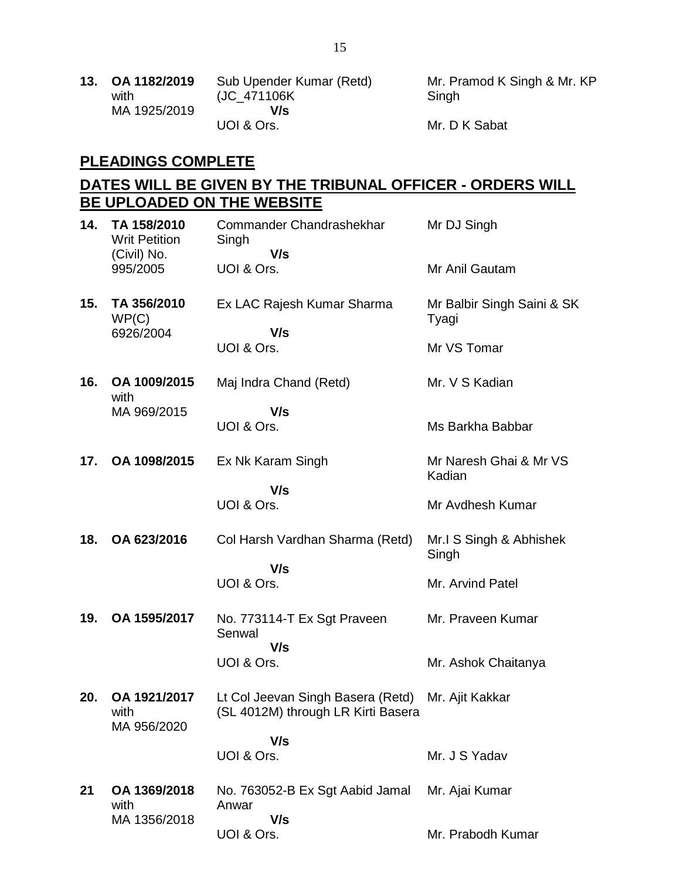| 13. OA 1182/2019 | Sub Upender Kumar (Retd) |
|------------------|--------------------------|
| with             | (JC_471106K)             |
| MA 1925/2019     | V/s                      |
|                  | UOI & Ors.               |

Mr. Pramod K Singh & Mr. KP Singh

Mr. D K Sabat

# **PLEADINGS COMPLETE**

### **DATES WILL BE GIVEN BY THE TRIBUNAL OFFICER - ORDERS WILL BE UPLOADED ON THE WEBSITE**

| 14. | TA 158/2010<br><b>Writ Petition</b><br>(Civil) No. | Commander Chandrashekhar<br>Singh<br>V/s                                | Mr DJ Singh                         |
|-----|----------------------------------------------------|-------------------------------------------------------------------------|-------------------------------------|
|     | 995/2005                                           | UOI & Ors.                                                              | Mr Anil Gautam                      |
| 15. | TA 356/2010<br>WP(C)<br>6926/2004                  | Ex LAC Rajesh Kumar Sharma<br>V/s                                       | Mr Balbir Singh Saini & SK<br>Tyagi |
|     |                                                    | UOI & Ors.                                                              | Mr VS Tomar                         |
| 16. | OA 1009/2015<br>with                               | Maj Indra Chand (Retd)                                                  | Mr. V S Kadian                      |
|     | MA 969/2015                                        | V/s<br>UOI & Ors.                                                       | Ms Barkha Babbar                    |
| 17. | OA 1098/2015                                       | Ex Nk Karam Singh                                                       | Mr Naresh Ghai & Mr VS<br>Kadian    |
|     |                                                    | V/s<br>UOI & Ors.                                                       | Mr Avdhesh Kumar                    |
| 18. | OA 623/2016                                        | Col Harsh Vardhan Sharma (Retd)                                         | Mr.I S Singh & Abhishek<br>Singh    |
|     |                                                    | V/s<br>UOI & Ors.                                                       | Mr. Arvind Patel                    |
| 19. | OA 1595/2017                                       | No. 773114-T Ex Sgt Praveen<br>Senwal<br>V/s                            | Mr. Praveen Kumar                   |
|     |                                                    | UOI & Ors.                                                              | Mr. Ashok Chaitanya                 |
| 20. | OA 1921/2017<br>with<br>MA 956/2020                | Lt Col Jeevan Singh Basera (Retd)<br>(SL 4012M) through LR Kirti Basera | Mr. Ajit Kakkar                     |
|     |                                                    | V/s<br>UOI & Ors.                                                       | Mr. J S Yadav                       |
| 21  | OA 1369/2018<br>with                               | No. 763052-B Ex Sgt Aabid Jamal<br>Anwar                                | Mr. Ajai Kumar                      |
|     | MA 1356/2018                                       | V/s<br>UOI & Ors.                                                       | Mr. Prabodh Kumar                   |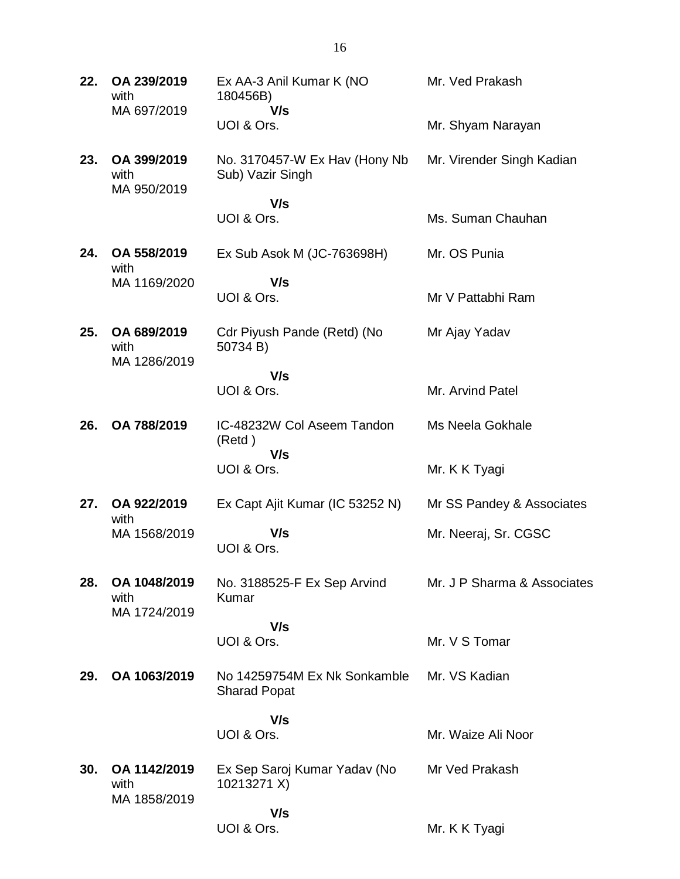| 22. | OA 239/2019<br>with<br>MA 697/2019   | Ex AA-3 Anil Kumar K (NO<br>180456B)<br>V/s         | Mr. Ved Prakash             |
|-----|--------------------------------------|-----------------------------------------------------|-----------------------------|
|     |                                      | UOI & Ors.                                          | Mr. Shyam Narayan           |
| 23. | OA 399/2019<br>with<br>MA 950/2019   | No. 3170457-W Ex Hav (Hony Nb<br>Sub) Vazir Singh   | Mr. Virender Singh Kadian   |
|     |                                      | V/s<br>UOI & Ors.                                   | Ms. Suman Chauhan           |
| 24. | OA 558/2019<br>with                  | Ex Sub Asok M (JC-763698H)                          | Mr. OS Punia                |
|     | MA 1169/2020                         | V/s<br>UOI & Ors.                                   | Mr V Pattabhi Ram           |
| 25. | OA 689/2019<br>with<br>MA 1286/2019  | Cdr Piyush Pande (Retd) (No<br>50734 B)             | Mr Ajay Yadav               |
|     |                                      | V/s<br>UOI & Ors.                                   | Mr. Arvind Patel            |
| 26. | OA 788/2019                          | IC-48232W Col Aseem Tandon<br>(Retd)                | Ms Neela Gokhale            |
|     |                                      | V/s<br>UOI & Ors.                                   | Mr. K K Tyagi               |
| 27. | OA 922/2019<br>with                  | Ex Capt Ajit Kumar (IC 53252 N)                     | Mr SS Pandey & Associates   |
|     | MA 1568/2019                         | V/s<br>UOI & Ors.                                   | Mr. Neeraj, Sr. CGSC        |
| 28. | OA 1048/2019<br>with                 | No. 3188525-F Ex Sep Arvind<br>Kumar                | Mr. J P Sharma & Associates |
|     | MA 1724/2019                         | V/s<br>UOI & Ors.                                   | Mr. V S Tomar               |
| 29. | OA 1063/2019                         | No 14259754M Ex Nk Sonkamble<br><b>Sharad Popat</b> | Mr. VS Kadian               |
|     |                                      | V/s                                                 |                             |
|     |                                      | UOI & Ors.                                          | Mr. Waize Ali Noor          |
| 30. | OA 1142/2019<br>with<br>MA 1858/2019 | Ex Sep Saroj Kumar Yadav (No<br>10213271 X)         | Mr Ved Prakash              |
|     |                                      | V/s                                                 |                             |
|     |                                      | UOI & Ors.                                          | Mr. K K Tyagi               |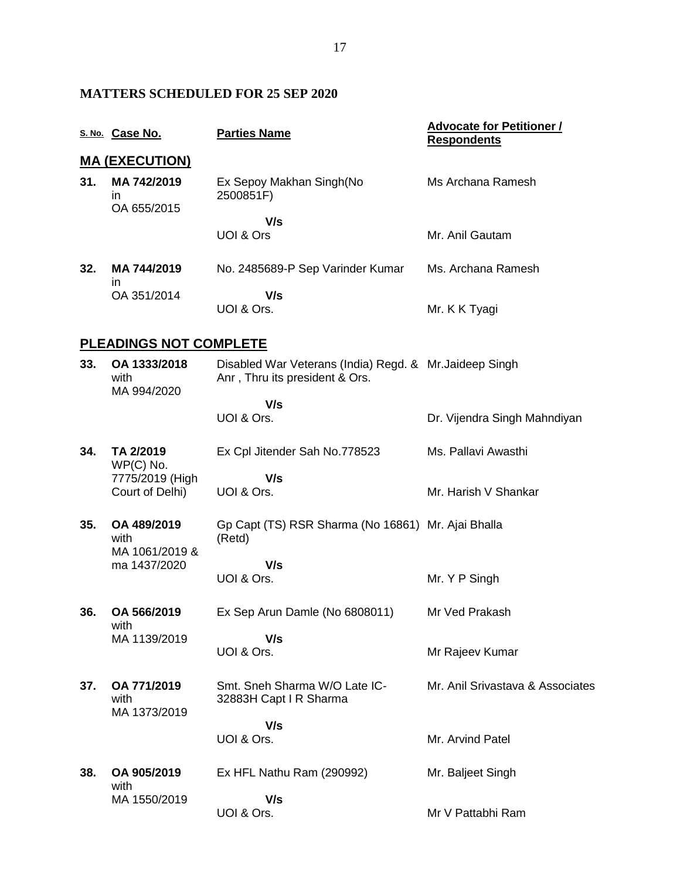### **MATTERS SCHEDULED FOR 25 SEP 2020**

|     | S. No. Case No.                       | <b>Parties Name</b>                                                                       | <b>Advocate for Petitioner /</b><br><b>Respondents</b> |
|-----|---------------------------------------|-------------------------------------------------------------------------------------------|--------------------------------------------------------|
|     | <u>MA (EXECUTION)</u>                 |                                                                                           |                                                        |
| 31. | MA 742/2019<br>in.<br>OA 655/2015     | Ex Sepoy Makhan Singh(No<br>2500851F)                                                     | Ms Archana Ramesh                                      |
|     |                                       | V/s<br>UOI & Ors                                                                          | Mr. Anil Gautam                                        |
| 32. | MA 744/2019<br>ın                     | No. 2485689-P Sep Varinder Kumar                                                          | Ms. Archana Ramesh                                     |
|     | OA 351/2014                           | V/s<br>UOI & Ors.                                                                         | Mr. K K Tyagi                                          |
|     | <u>PLEADINGS NOT COMPLETE</u>         |                                                                                           |                                                        |
| 33. | OA 1333/2018<br>with<br>MA 994/2020   | Disabled War Veterans (India) Regd. & Mr. Jaideep Singh<br>Anr, Thru its president & Ors. |                                                        |
|     |                                       | V/s<br>UOI & Ors.                                                                         | Dr. Vijendra Singh Mahndiyan                           |
| 34. | TA 2/2019<br>WP(C) No.                | Ex Cpl Jitender Sah No.778523                                                             | Ms. Pallavi Awasthi                                    |
|     | 7775/2019 (High<br>Court of Delhi)    | V/s<br>UOI & Ors.                                                                         | Mr. Harish V Shankar                                   |
| 35. | OA 489/2019<br>with<br>MA 1061/2019 & | Gp Capt (TS) RSR Sharma (No 16861) Mr. Ajai Bhalla<br>(Retd)                              |                                                        |
|     | ma 1437/2020                          | V/s<br>UOI & Ors.                                                                         | Mr. Y P Singh                                          |
| 36. | OA 566/2019<br>with                   | Ex Sep Arun Damle (No 6808011)                                                            | Mr Ved Prakash                                         |
|     | MA 1139/2019                          | V/s<br>UOI & Ors.                                                                         | Mr Rajeev Kumar                                        |
| 37. | OA 771/2019<br>with<br>MA 1373/2019   | Smt. Sneh Sharma W/O Late IC-<br>32883H Capt I R Sharma                                   | Mr. Anil Srivastava & Associates                       |
|     |                                       | V/s<br>UOI & Ors.                                                                         | Mr. Arvind Patel                                       |
| 38. | OA 905/2019<br>with                   | Ex HFL Nathu Ram (290992)                                                                 | Mr. Baljeet Singh                                      |
|     | MA 1550/2019                          | V/s<br>UOI & Ors.                                                                         | Mr V Pattabhi Ram                                      |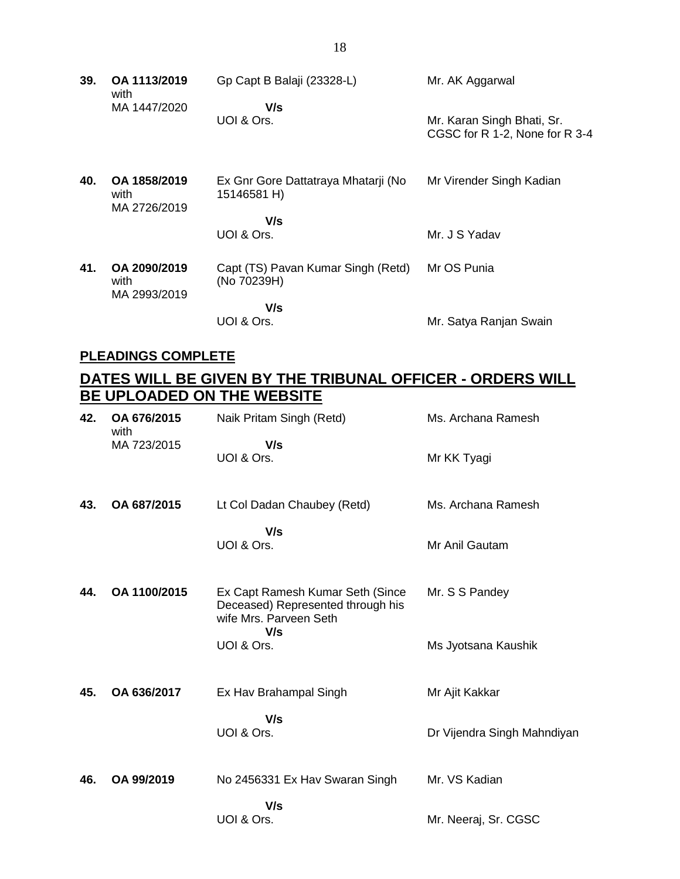| 39. | OA 1113/2019<br>with                 | Gp Capt B Balaji (23328-L)                         | Mr. AK Aggarwal                |
|-----|--------------------------------------|----------------------------------------------------|--------------------------------|
|     | MA 1447/2020                         | V/s<br>UOI & Ors.                                  | Mr. Karan Singh Bhati, Sr.     |
|     |                                      |                                                    | CGSC for R 1-2, None for R 3-4 |
| 40. | OA 1858/2019<br>with<br>MA 2726/2019 | Ex Gnr Gore Dattatraya Mhatarji (No<br>15146581 H) | Mr Virender Singh Kadian       |
|     |                                      | V/s                                                |                                |
|     |                                      | UOI & Ors.                                         | Mr. J S Yadav                  |
| 41. | OA 2090/2019<br>with<br>MA 2993/2019 | Capt (TS) Pavan Kumar Singh (Retd)<br>(No 70239H)  | Mr OS Punia                    |
|     |                                      | V/s                                                |                                |
|     |                                      | UOI & Ors.                                         | Mr. Satya Ranjan Swain         |

### **PLEADINGS COMPLETE**

## **DATES WILL BE GIVEN BY THE TRIBUNAL OFFICER - ORDERS WILL BE UPLOADED ON THE WEBSITE**

| 42. | OA 676/2015<br>with | Naik Pritam Singh (Retd)                                                                        | Ms. Archana Ramesh          |
|-----|---------------------|-------------------------------------------------------------------------------------------------|-----------------------------|
|     | MA 723/2015         | V/s<br>UOI & Ors.                                                                               | Mr KK Tyagi                 |
| 43. | OA 687/2015         | Lt Col Dadan Chaubey (Retd)                                                                     | Ms. Archana Ramesh          |
|     |                     | V/s<br>UOI & Ors.                                                                               | Mr Anil Gautam              |
| 44. | OA 1100/2015        | Ex Capt Ramesh Kumar Seth (Since<br>Deceased) Represented through his<br>wife Mrs. Parveen Seth | Mr. S S Pandey              |
|     |                     | V/s<br>UOI & Ors.                                                                               | Ms Jyotsana Kaushik         |
| 45. | OA 636/2017         | Ex Hav Brahampal Singh                                                                          | Mr Ajit Kakkar              |
|     |                     | V/s<br>UOI & Ors.                                                                               | Dr Vijendra Singh Mahndiyan |
| 46. | OA 99/2019          | No 2456331 Ex Hav Swaran Singh                                                                  | Mr. VS Kadian               |
|     |                     | V/s<br>UOI & Ors.                                                                               | Mr. Neeraj, Sr. CGSC        |

18